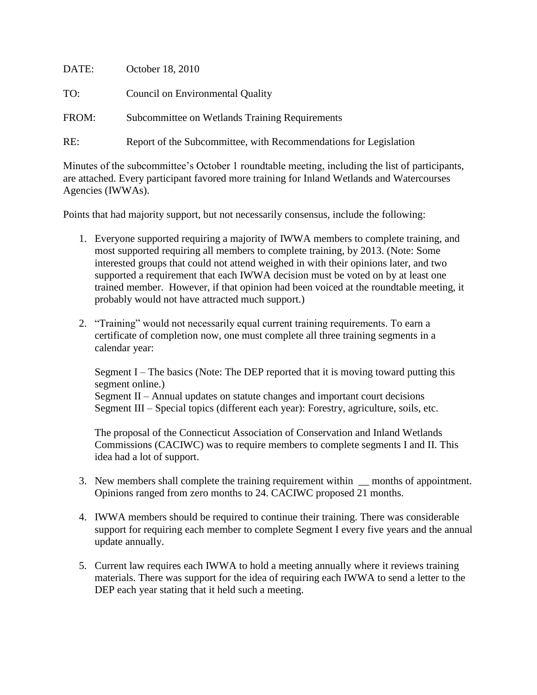| DATE: | October 18, 2010                                                 |
|-------|------------------------------------------------------------------|
| TO:   | <b>Council on Environmental Quality</b>                          |
| FROM: | Subcommittee on Wetlands Training Requirements                   |
| RE:   | Report of the Subcommittee, with Recommendations for Legislation |

Minutes of the subcommittee's October 1 roundtable meeting, including the list of participants, are attached. Every participant favored more training for Inland Wetlands and Watercourses Agencies (IWWAs).

Points that had majority support, but not necessarily consensus, include the following:

- 1. Everyone supported requiring a majority of IWWA members to complete training, and most supported requiring all members to complete training, by 2013. (Note: Some interested groups that could not attend weighed in with their opinions later, and two supported a requirement that each IWWA decision must be voted on by at least one trained member. However, if that opinion had been voiced at the roundtable meeting, it probably would not have attracted much support.)
- 2. "Training" would not necessarily equal current training requirements. To earn a certificate of completion now, one must complete all three training segments in a calendar year:

Segment I – The basics (Note: The DEP reported that it is moving toward putting this segment online.) Segment II – Annual updates on statute changes and important court decisions Segment III – Special topics (different each year): Forestry, agriculture, soils, etc.

The proposal of the Connecticut Association of Conservation and Inland Wetlands Commissions (CACIWC) was to require members to complete segments I and II. This idea had a lot of support.

- 3. New members shall complete the training requirement within \_\_ months of appointment. Opinions ranged from zero months to 24. CACIWC proposed 21 months.
- 4. IWWA members should be required to continue their training. There was considerable support for requiring each member to complete Segment I every five years and the annual update annually.
- 5. Current law requires each IWWA to hold a meeting annually where it reviews training materials. There was support for the idea of requiring each IWWA to send a letter to the DEP each year stating that it held such a meeting.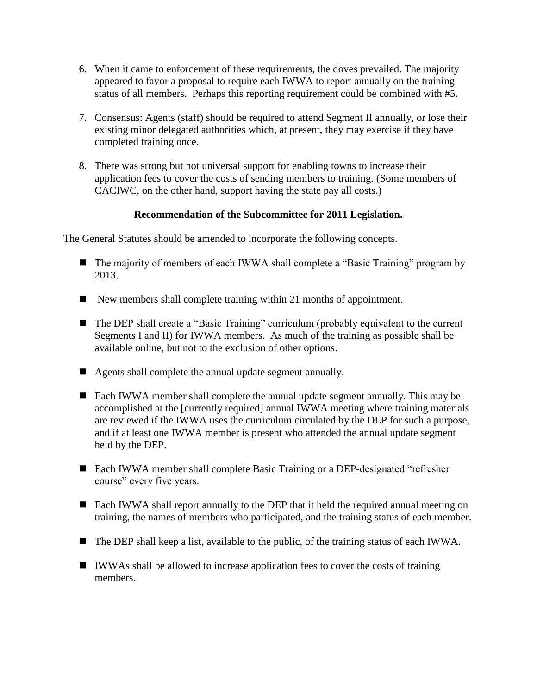- 6. When it came to enforcement of these requirements, the doves prevailed. The majority appeared to favor a proposal to require each IWWA to report annually on the training status of all members. Perhaps this reporting requirement could be combined with #5.
- 7. Consensus: Agents (staff) should be required to attend Segment II annually, or lose their existing minor delegated authorities which, at present, they may exercise if they have completed training once.
- 8. There was strong but not universal support for enabling towns to increase their application fees to cover the costs of sending members to training. (Some members of CACIWC, on the other hand, support having the state pay all costs.)

## **Recommendation of the Subcommittee for 2011 Legislation.**

The General Statutes should be amended to incorporate the following concepts.

- The majority of members of each IWWA shall complete a "Basic Training" program by 2013.
- New members shall complete training within 21 months of appointment.
- The DEP shall create a "Basic Training" curriculum (probably equivalent to the current Segments I and II) for IWWA members. As much of the training as possible shall be available online, but not to the exclusion of other options.
- Agents shall complete the annual update segment annually.
- Each IWWA member shall complete the annual update segment annually. This may be accomplished at the [currently required] annual IWWA meeting where training materials are reviewed if the IWWA uses the curriculum circulated by the DEP for such a purpose, and if at least one IWWA member is present who attended the annual update segment held by the DEP.
- Each IWWA member shall complete Basic Training or a DEP-designated "refresher course" every five years.
- Each IWWA shall report annually to the DEP that it held the required annual meeting on training, the names of members who participated, and the training status of each member.
- The DEP shall keep a list, available to the public, of the training status of each IWWA.
- IWWAs shall be allowed to increase application fees to cover the costs of training members.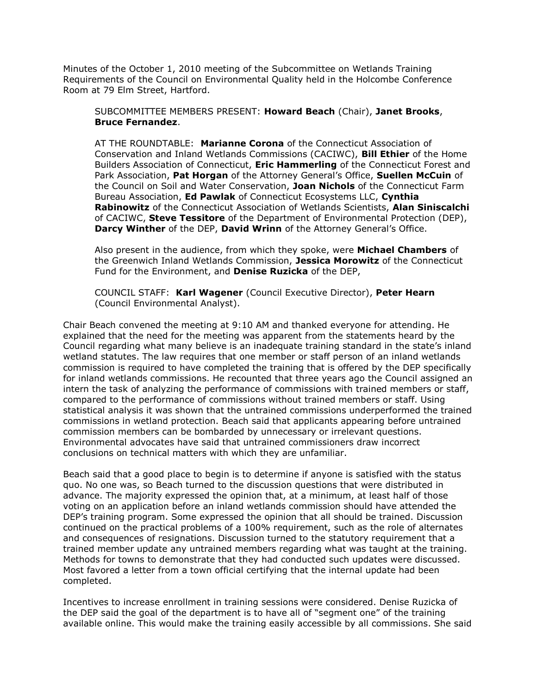Minutes of the October 1, 2010 meeting of the Subcommittee on Wetlands Training Requirements of the Council on Environmental Quality held in the Holcombe Conference Room at 79 Elm Street, Hartford.

SUBCOMMITTEE MEMBERS PRESENT: **Howard Beach** (Chair), **Janet Brooks**, **Bruce Fernandez**.

AT THE ROUNDTABLE: **Marianne Corona** of the Connecticut Association of Conservation and Inland Wetlands Commissions (CACIWC), **Bill Ethier** of the Home Builders Association of Connecticut, **Eric Hammerling** of the Connecticut Forest and Park Association, **Pat Horgan** of the Attorney General's Office, **Suellen McCuin** of the Council on Soil and Water Conservation, **Joan Nichols** of the Connecticut Farm Bureau Association, **Ed Pawlak** of Connecticut Ecosystems LLC, **Cynthia Rabinowitz** of the Connecticut Association of Wetlands Scientists, **Alan Siniscalchi** of CACIWC, **Steve Tessitore** of the Department of Environmental Protection (DEP), **Darcy Winther** of the DEP, **David Wrinn** of the Attorney General's Office.

Also present in the audience, from which they spoke, were **Michael Chambers** of the Greenwich Inland Wetlands Commission, **Jessica Morowitz** of the Connecticut Fund for the Environment, and **Denise Ruzicka** of the DEP,

COUNCIL STAFF: **Karl Wagener** (Council Executive Director), **Peter Hearn** (Council Environmental Analyst).

Chair Beach convened the meeting at 9:10 AM and thanked everyone for attending. He explained that the need for the meeting was apparent from the statements heard by the Council regarding what many believe is an inadequate training standard in the state's inland wetland statutes. The law requires that one member or staff person of an inland wetlands commission is required to have completed the training that is offered by the DEP specifically for inland wetlands commissions. He recounted that three years ago the Council assigned an intern the task of analyzing the performance of commissions with trained members or staff, compared to the performance of commissions without trained members or staff. Using statistical analysis it was shown that the untrained commissions underperformed the trained commissions in wetland protection. Beach said that applicants appearing before untrained commission members can be bombarded by unnecessary or irrelevant questions. Environmental advocates have said that untrained commissioners draw incorrect conclusions on technical matters with which they are unfamiliar.

Beach said that a good place to begin is to determine if anyone is satisfied with the status quo. No one was, so Beach turned to the discussion questions that were distributed in advance. The majority expressed the opinion that, at a minimum, at least half of those voting on an application before an inland wetlands commission should have attended the DEP's training program. Some expressed the opinion that all should be trained. Discussion continued on the practical problems of a 100% requirement, such as the role of alternates and consequences of resignations. Discussion turned to the statutory requirement that a trained member update any untrained members regarding what was taught at the training. Methods for towns to demonstrate that they had conducted such updates were discussed. Most favored a letter from a town official certifying that the internal update had been completed.

Incentives to increase enrollment in training sessions were considered. Denise Ruzicka of the DEP said the goal of the department is to have all of "segment one" of the training available online. This would make the training easily accessible by all commissions. She said